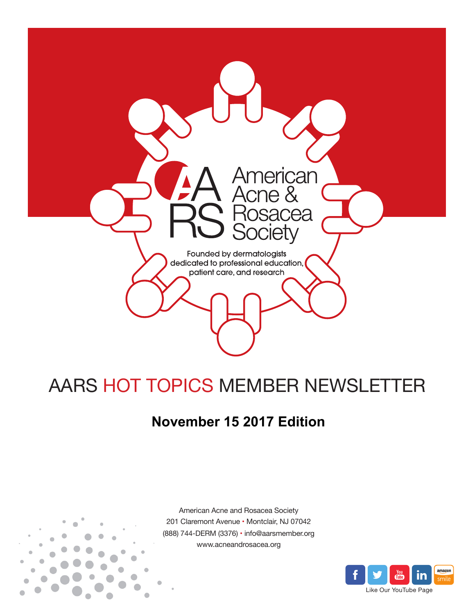

# AARS HOT TOPICS MEMBER NEWSLETTER

## **November 15 2017 Edition**



American Acne and Rosacea Society 201 Claremont Avenue • Montclair, NJ 07042 (888) 744-DERM (3376) • info@aarsmember.org www.acneandrosacea.org

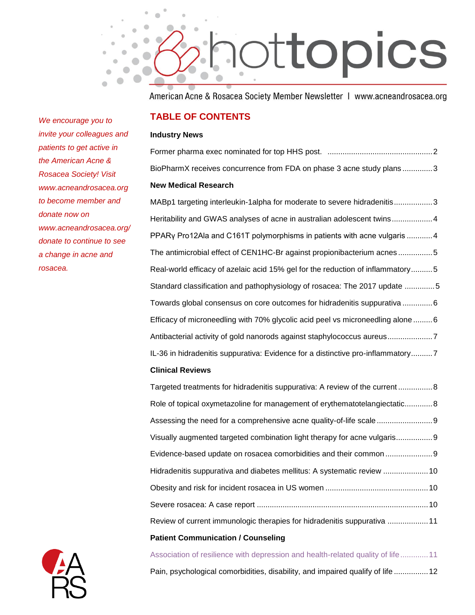

American Acne & Rosacea Society Member Newsletter | www.acneandrosacea.org

#### **TABLE OF CONTENTS**

#### **Industry News**

[Former pharma exec nominated for top HHS post. .................................................2](#page-2-0) [BioPharmX receives concurrence from FDA on phase 3 acne study plans](#page-2-1) ..............3 **New Medical Research**

[MABp1 targeting interleukin-1alpha for moderate to](#page-3-0) severe hidradenitis..................3 [Heritability and GWAS analyses of acne in australian adolescent twins...................4](#page-4-0) [PPARγ Pro12Ala and C161T polymorphisms in patients with acne vulgaris](#page-4-1) ............4 [The antimicrobial effect of CEN1HC-Br against propionibacterium acnes](#page-5-0) ................5 [Real-world efficacy of azelaic acid 15% gel for the reduction of inflammatory..........5](#page-5-1) [Standard classification and pathophysiology of rosacea: The 2017 update](#page-5-2) ..............5 [Towards global consensus on core outcomes for hidradenitis suppurativa](#page-6-0) ..............6 [Efficacy of microneedling with 70% glycolic acid peel vs microneedling alone](#page-6-1) .........6 Antibacterial activity of gold nanorods [against staphylococcus aureus.....................7](#page-7-0) [IL-36 in hidradenitis suppurativa: Evidence for a distinctive pro-inflammatory..........7](#page-7-1)

#### **Clinical Reviews**

[Targeted treatments for hidradenitis suppurativa: A review of the current](#page-8-0) ................8 [Role of topical oxymetazoline for management of erythematotelangiectatic.............8](#page-8-1) [Assessing the need for a comprehensive acne quality-of-life scale](#page-9-0) ..........................9 [Visually augmented targeted combination light therapy for acne vulgaris.................9](#page-9-1) [Evidence-based update on rosacea comorbidities and their common](#page-9-2) ......................9 [Hidradenitis suppurativa and diabetes mellitus: A systematic review](#page-10-0) .....................10 [Obesity and risk for incident rosacea in US women](#page-10-1) ................................................10 Severe rosacea: A case report [................................................................................10](#page-10-2) [Review of current immunologic therapies for hidradenitis suppurativa](#page-11-0) ...................11 **Patient Communication / Counseling**

[Association of resilience with depression and health-related quality of life.............11](#page-11-1) [Pain, psychological comorbidities, disability, and impaired qualify of life](#page-12-0) ................12

*We encourage you to invite your colleagues and patients to get active in the American Acne & Rosacea Society! Visit www.acneandrosacea.org to become member and donate now on www.acneandrosacea.org/ donate to continue to see a change in acne and rosacea.*

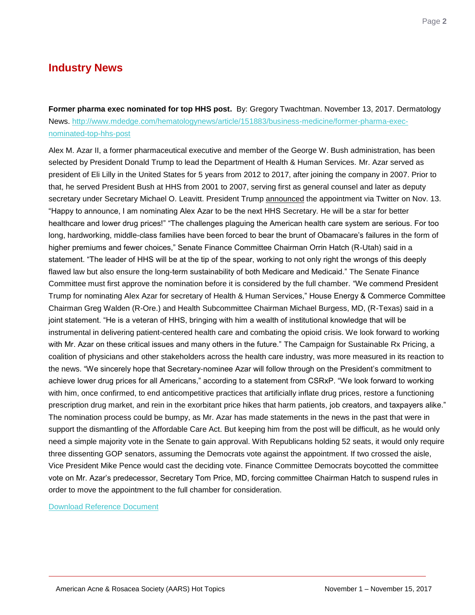## **Industry News**

<span id="page-2-0"></span>**Former pharma exec nominated for top HHS post.** By: [Gregory Twachtman.](http://www.mdedge.com/authors/gregory-twachtman) November 13, 2017. Dermatology News. [http://www.mdedge.com/hematologynews/article/151883/business-medicine/former-pharma-exec](http://www.mdedge.com/hematologynews/article/151883/business-medicine/former-pharma-exec-nominated-top-hhs-post)[nominated-top-hhs-post](http://www.mdedge.com/hematologynews/article/151883/business-medicine/former-pharma-exec-nominated-top-hhs-post)

Alex M. Azar II, a former pharmaceutical executive and member of the George W. Bush administration, has been selected by President Donald Trump to lead the Department of Health & Human Services. Mr. Azar served as president of Eli Lilly in the United States for 5 years from 2012 to 2017, after joining the company in 2007. Prior to that, he served President Bush at HHS from 2001 to 2007, serving first as general counsel and later as deputy secretary under Secretary Michael O. Leavitt. President Trump **[announced](https://twitter.com/realDonaldTrump/status/930087113764327424)** the appointment via Twitter on Nov. 13. "Happy to announce, I am nominating Alex Azar to be the next HHS Secretary. He will be a star for better healthcare and lower drug prices!" "The challenges plaguing the American health care system are serious. For too long, hardworking, middle-class families have been forced to bear the brunt of Obamacare's failures in the form of higher premiums and fewer choices," Senate Finance Committee Chairman Orrin Hatch (R-Utah) said in a statement. "The leader of HHS will be at the tip of the spear, working to not only right the wrongs of this deeply flawed law but also ensure the long-term sustainability of both Medicare and Medicaid." The Senate Finance Committee must first approve the nomination before it is considered by the full chamber. "We commend President Trump for nominating Alex Azar for secretary of Health & Human Services," House Energy & Commerce Committee Chairman Greg Walden (R-Ore.) and Health Subcommittee Chairman Michael Burgess, MD, (R-Texas) said in a joint statement. "He is a veteran of HHS, bringing with him a wealth of institutional knowledge that will be instrumental in delivering patient-centered health care and combating the opioid crisis. We look forward to working with Mr. Azar on these critical issues and many others in the future." The Campaign for Sustainable Rx Pricing, a coalition of physicians and other stakeholders across the health care industry, was more measured in its reaction to the news. "We sincerely hope that Secretary-nominee Azar will follow through on the President's commitment to achieve lower drug prices for all Americans," according to a statement from CSRxP. "We look forward to working with him, once confirmed, to end anticompetitive practices that artificially inflate drug prices, restore a functioning prescription drug market, and rein in the exorbitant price hikes that harm patients, job creators, and taxpayers alike." The nomination process could be bumpy, as Mr. Azar has made statements in the news in the past that were in support the dismantling of the Affordable Care Act. But keeping him from the post will be difficult, as he would only need a simple majority vote in the Senate to gain approval. With Republicans holding 52 seats, it would only require three dissenting GOP senators, assuming the Democrats vote against the appointment. If two crossed the aisle, Vice President Mike Pence would cast the deciding vote. Finance Committee Democrats boycotted the committee vote on Mr. Azar's predecessor, Secretary Tom Price, MD, forcing committee Chairman Hatch to suspend rules in order to move the appointment to the full chamber for consideration.

<span id="page-2-1"></span>[Download Reference Document](http://files.constantcontact.com/c2fa20d1101/ee4cadb0-bbe2-4fc0-bcd4-f9b39a599a1c.pdf?ver=1510693462000)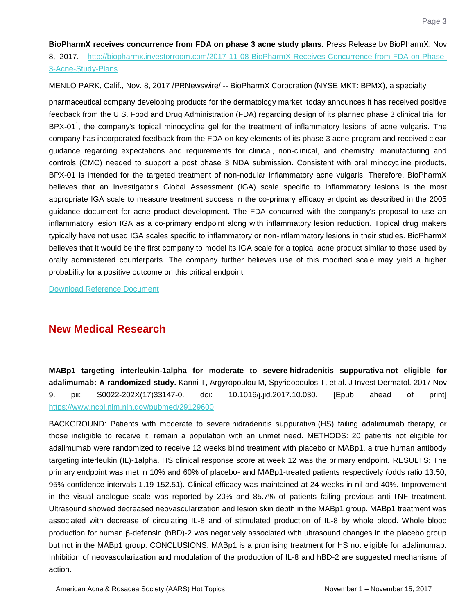**BioPharmX receives concurrence from FDA on phase 3 acne study plans.** Press Release by BioPharmX, Nov 8, 2017. [http://biopharmx.investorroom.com/2017-11-08-BioPharmX-Receives-Concurrence-from-FDA-on-Phase-](http://biopharmx.investorroom.com/2017-11-08-BioPharmX-Receives-Concurrence-from-FDA-on-Phase-3-Acne-Study-Plans)[3-Acne-Study-Plans](http://biopharmx.investorroom.com/2017-11-08-BioPharmX-Receives-Concurrence-from-FDA-on-Phase-3-Acne-Study-Plans)

MENLO PARK, Calif., Nov. 8, 2017 [/PRNewswire/](http://www.prnewswire.com/) -- BioPharmX Corporation (NYSE MKT: BPMX), a specialty

pharmaceutical company developing products for the dermatology market, today announces it has received positive feedback from the U.S. Food and Drug Administration (FDA) regarding design of its planned phase 3 clinical trial for BPX-01<sup>1</sup>, the company's topical minocycline gel for the treatment of inflammatory lesions of acne vulgaris. The company has incorporated feedback from the FDA on key elements of its phase 3 acne program and received clear guidance regarding expectations and requirements for clinical, non-clinical, and chemistry, manufacturing and controls (CMC) needed to support a post phase 3 NDA submission. Consistent with oral minocycline products, BPX-01 is intended for the targeted treatment of non-nodular inflammatory acne vulgaris. Therefore, BioPharmX believes that an Investigator's Global Assessment (IGA) scale specific to inflammatory lesions is the most appropriate IGA scale to measure treatment success in the co-primary efficacy endpoint as described in the 2005 guidance document for acne product development. The FDA concurred with the company's proposal to use an inflammatory lesion IGA as a co-primary endpoint along with inflammatory lesion reduction. Topical drug makers typically have not used IGA scales specific to inflammatory or non-inflammatory lesions in their studies. BioPharmX believes that it would be the first company to model its IGA scale for a topical acne product similar to those used by orally administered counterparts. The company further believes use of this modified scale may yield a higher probability for a positive outcome on this critical endpoint.

[Download Reference Document](http://files.constantcontact.com/c2fa20d1101/050de87c-ad5d-4d30-8ff0-d47fd0ed7dbf.pdf?ver=1510693464000)

### **New Medical Research**

<span id="page-3-0"></span>**MABp1 targeting interleukin-1alpha for moderate to severe hidradenitis suppurativa not eligible for adalimumab: A randomized study.** Kanni T, Argyropoulou M, Spyridopoulos T, et al. J Invest Dermatol. 2017 Nov 9. pii: S0022-202X(17)33147-0. doi: 10.1016/j.jid.2017.10.030. [Epub ahead of print] <https://www.ncbi.nlm.nih.gov/pubmed/29129600>

BACKGROUND: Patients with moderate to severe hidradenitis suppurativa (HS) failing adalimumab therapy, or those ineligible to receive it, remain a population with an unmet need. METHODS: 20 patients not eligible for adalimumab were randomized to receive 12 weeks blind treatment with placebo or MABp1, a true human antibody targeting interleukin (IL)-1alpha. HS clinical response score at week 12 was the primary endpoint. RESULTS: The primary endpoint was met in 10% and 60% of placebo- and MABp1-treated patients respectively (odds ratio 13.50, 95% confidence intervals 1.19-152.51). Clinical efficacy was maintained at 24 weeks in nil and 40%. Improvement in the visual analogue scale was reported by 20% and 85.7% of patients failing previous anti-TNF treatment. Ultrasound showed decreased neovascularization and lesion skin depth in the MABp1 group. MABp1 treatment was associated with decrease of circulating IL-8 and of stimulated production of IL-8 by whole blood. Whole blood production for human β-defensin (hBD)-2 was negatively associated with ultrasound changes in the placebo group but not in the MABp1 group. CONCLUSIONS: MABp1 is a promising treatment for HS not eligible for adalimumab. Inhibition of neovascularization and modulation of the production of IL-8 and hBD-2 are suggested mechanisms of action.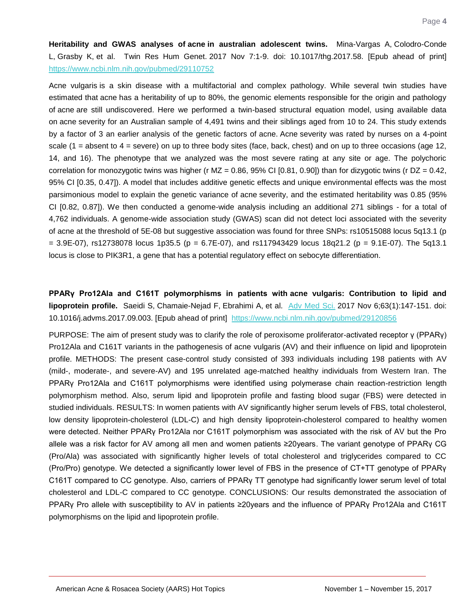<span id="page-4-0"></span>**Heritability and GWAS analyses of acne in australian adolescent twins.** Mina-Vargas A, Colodro-Conde L, Grasby K, et al. Twin Res Hum Genet. 2017 Nov 7:1-9. doi: 10.1017/thg.2017.58. [Epub ahead of print] <https://www.ncbi.nlm.nih.gov/pubmed/29110752>

Acne vulgaris is a skin disease with a multifactorial and complex pathology. While several twin studies have estimated that acne has a heritability of up to 80%, the genomic elements responsible for the origin and pathology of acne are still undiscovered. Here we performed a twin-based structural equation model, using available data on acne severity for an Australian sample of 4,491 twins and their siblings aged from 10 to 24. This study extends by a factor of 3 an earlier analysis of the genetic factors of acne. Acne severity was rated by nurses on a 4-point scale  $(1 =$  absent to  $4 =$  severe) on up to three body sites (face, back, chest) and on up to three occasions (age 12, 14, and 16). The phenotype that we analyzed was the most severe rating at any site or age. The polychoric correlation for monozygotic twins was higher (r MZ = 0.86, 95% CI [0.81, 0.90]) than for dizygotic twins (r DZ = 0.42, 95% CI [0.35, 0.47]). A model that includes additive genetic effects and unique environmental effects was the most parsimonious model to explain the genetic variance of acne severity, and the estimated heritability was 0.85 (95% CI [0.82, 0.87]). We then conducted a genome-wide analysis including an additional 271 siblings - for a total of 4,762 individuals. A genome-wide association study (GWAS) scan did not detect loci associated with the severity of acne at the threshold of 5E-08 but suggestive association was found for three SNPs: rs10515088 locus 5q13.1 (p  $= 3.9E-07$ , rs12738078 locus 1p35.5 (p = 6.7E-07), and rs117943429 locus 18q21.2 (p = 9.1E-07). The 5q13.1 locus is close to PIK3R1, a gene that has a potential regulatory effect on sebocyte differentiation.

<span id="page-4-1"></span>**PPARγ Pro12Ala and C161T polymorphisms in patients with acne vulgaris: Contribution to lipid and lipoprotein profile.** Saeidi S, Chamaie-Nejad F, Ebrahimi A, et al. [Adv Med Sci.](https://www.ncbi.nlm.nih.gov/pubmed/29120856) 2017 Nov 6;63(1):147-151. doi: 10.1016/j.advms.2017.09.003. [Epub ahead of print] <https://www.ncbi.nlm.nih.gov/pubmed/29120856>

PURPOSE: The aim of present study was to clarify the role of peroxisome proliferator-activated receptor γ (PPARγ) Pro12Ala and C161T variants in the pathogenesis of acne vulgaris (AV) and their influence on lipid and lipoprotein profile. METHODS: The present case-control study consisted of 393 individuals including 198 patients with AV (mild-, moderate-, and severe-AV) and 195 unrelated age-matched healthy individuals from Western Iran. The PPARγ Pro12Ala and C161T polymorphisms were identified using polymerase chain reaction-restriction length polymorphism method. Also, serum lipid and lipoprotein profile and fasting blood sugar (FBS) were detected in studied individuals. RESULTS: In women patients with AV significantly higher serum levels of FBS, total cholesterol, low density lipoprotein-cholesterol (LDL-C) and high density lipoprotein-cholesterol compared to healthy women were detected. Neither PPARγ Pro12Ala nor C161T polymorphism was associated with the risk of AV but the Pro allele was a risk factor for AV among all men and women patients ≥20years. The variant genotype of PPARγ CG (Pro/Ala) was associated with significantly higher levels of total cholesterol and triglycerides compared to CC (Pro/Pro) genotype. We detected a significantly lower level of FBS in the presence of CT+TT genotype of PPARγ C161T compared to CC genotype. Also, carriers of PPARγ TT genotype had significantly lower serum level of total cholesterol and LDL-C compared to CC genotype. CONCLUSIONS: Our results demonstrated the association of PPARγ Pro allele with susceptibility to AV in patients ≥20years and the influence of PPARγ Pro12Ala and C161T polymorphisms on the lipid and lipoprotein profile.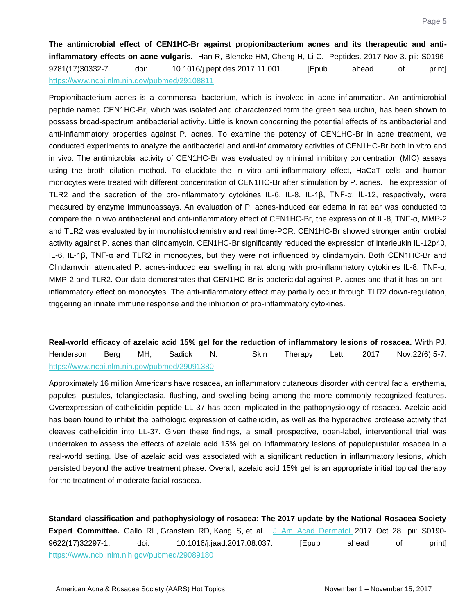<span id="page-5-0"></span>**The antimicrobial effect of CEN1HC-Br against propionibacterium acnes and its therapeutic and antiinflammatory effects on acne vulgaris.** Han R, Blencke HM, Cheng H, Li C. Peptides. 2017 Nov 3. pii: S0196- 9781(17)30332-7. doi: 10.1016/j.peptides.2017.11.001. [Epub ahead of print] <https://www.ncbi.nlm.nih.gov/pubmed/29108811>

Propionibacterium acnes is a commensal bacterium, which is involved in acne inflammation. An antimicrobial peptide named CEN1HC-Br, which was isolated and characterized form the green sea urchin, has been shown to possess broad-spectrum antibacterial activity. Little is known concerning the potential effects of its antibacterial and anti-inflammatory properties against P. acnes. To examine the potency of CEN1HC-Br in acne treatment, we conducted experiments to analyze the antibacterial and anti-inflammatory activities of CEN1HC-Br both in vitro and in vivo. The antimicrobial activity of CEN1HC-Br was evaluated by minimal inhibitory concentration (MIC) assays using the broth dilution method. To elucidate the in vitro anti-inflammatory effect, HaCaT cells and human monocytes were treated with different concentration of CEN1HC-Br after stimulation by P. acnes. The expression of TLR2 and the secretion of the pro-inflammatory cytokines IL-6, IL-8, IL-1β, TNF-α, IL-12, respectively, were measured by enzyme immunoassays. An evaluation of P. acnes-induced ear edema in rat ear was conducted to compare the in vivo antibacterial and anti-inflammatory effect of CEN1HC-Br, the expression of IL-8, TNF-α, MMP-2 and TLR2 was evaluated by immunohistochemistry and real time-PCR. CEN1HC-Br showed stronger antimicrobial activity against P. acnes than clindamycin. CEN1HC-Br significantly reduced the expression of interleukin IL-12p40, IL-6, IL-1β, TNF-α and TLR2 in monocytes, but they were not influenced by clindamycin. Both CEN1HC-Br and Clindamycin attenuated P. acnes-induced ear swelling in rat along with pro-inflammatory cytokines IL-8, TNF-α, MMP-2 and TLR2. Our data demonstrates that CEN1HC-Br is bactericidal against P. acnes and that it has an antiinflammatory effect on monocytes. The anti-inflammatory effect may partially occur through TLR2 down-regulation, triggering an innate immune response and the inhibition of pro-inflammatory cytokines.

<span id="page-5-1"></span>**Real-world efficacy of azelaic acid 15% gel for the reduction of inflammatory lesions of rosacea.** Wirth PJ, Henderson Berg MH, Sadick N. Skin Therapy Lett. 2017 Nov; 22(6): 5-7. <https://www.ncbi.nlm.nih.gov/pubmed/29091380>

Approximately 16 million Americans have rosacea, an inflammatory cutaneous disorder with central facial erythema, papules, pustules, telangiectasia, flushing, and swelling being among the more commonly recognized features. Overexpression of cathelicidin peptide LL-37 has been implicated in the pathophysiology of rosacea. Azelaic acid has been found to inhibit the pathologic expression of cathelicidin, as well as the hyperactive protease activity that cleaves cathelicidin into LL-37. Given these findings, a small prospective, open-label, interventional trial was undertaken to assess the effects of azelaic acid 15% gel on inflammatory lesions of papulopustular rosacea in a real-world setting. Use of azelaic acid was associated with a significant reduction in inflammatory lesions, which persisted beyond the active treatment phase. Overall, azelaic acid 15% gel is an appropriate initial topical therapy for the treatment of moderate facial rosacea.

<span id="page-5-2"></span>**Standard classification and pathophysiology of rosacea: The 2017 update by the National Rosacea Society Expert Committee.** Gallo RL, Granstein RD, Kang S, et al. [J Am Acad Dermatol.](https://www.ncbi.nlm.nih.gov/pubmed/29089180) 2017 Oct 28. pii: S0190- 9622(17)32297-1. doi: 10.1016/j.jaad.2017.08.037. [Epub ahead of print] <https://www.ncbi.nlm.nih.gov/pubmed/29089180>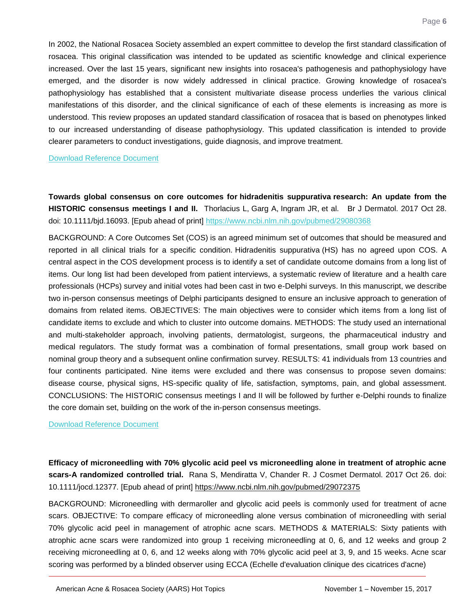In 2002, the National Rosacea Society assembled an expert committee to develop the first standard classification of rosacea. This original classification was intended to be updated as scientific knowledge and clinical experience increased. Over the last 15 years, significant new insights into rosacea's pathogenesis and pathophysiology have emerged, and the disorder is now widely addressed in clinical practice. Growing knowledge of rosacea's pathophysiology has established that a consistent multivariate disease process underlies the various clinical manifestations of this disorder, and the clinical significance of each of these elements is increasing as more is understood. This review proposes an updated standard classification of rosacea that is based on phenotypes linked to our increased understanding of disease pathophysiology. This updated classification is intended to provide clearer parameters to conduct investigations, guide diagnosis, and improve treatment.

[Download Reference Document](http://files.constantcontact.com/c2fa20d1101/e765fcc5-701b-424f-983e-02c912c66b28.pdf?ver=1510693466000)

<span id="page-6-0"></span>**Towards global consensus on core outcomes for hidradenitis suppurativa research: An update from the HISTORIC consensus meetings I and II.** Thorlacius L, Garg A, Ingram JR, et al. Br J Dermatol. 2017 Oct 28. doi: 10.1111/bjd.16093. [Epub ahead of print]<https://www.ncbi.nlm.nih.gov/pubmed/29080368>

BACKGROUND: A Core Outcomes Set (COS) is an agreed minimum set of outcomes that should be measured and reported in all clinical trials for a specific condition. Hidradenitis suppurativa (HS) has no agreed upon COS. A central aspect in the COS development process is to identify a set of candidate outcome domains from a long list of items. Our long list had been developed from patient interviews, a systematic review of literature and a health care professionals (HCPs) survey and initial votes had been cast in two e-Delphi surveys. In this manuscript, we describe two in-person consensus meetings of Delphi participants designed to ensure an inclusive approach to generation of domains from related items. OBJECTIVES: The main objectives were to consider which items from a long list of candidate items to exclude and which to cluster into outcome domains. METHODS: The study used an international and multi-stakeholder approach, involving patients, dermatologist, surgeons, the pharmaceutical industry and medical regulators. The study format was a combination of formal presentations, small group work based on nominal group theory and a subsequent online confirmation survey. RESULTS: 41 individuals from 13 countries and four continents participated. Nine items were excluded and there was consensus to propose seven domains: disease course, physical signs, HS-specific quality of life, satisfaction, symptoms, pain, and global assessment. CONCLUSIONS: The HISTORIC consensus meetings I and II will be followed by further e-Delphi rounds to finalize the core domain set, building on the work of the in-person consensus meetings.

[Download Reference Document](http://files.constantcontact.com/c2fa20d1101/540a7bca-2714-4197-913f-fda84da61c55.pdf?ver=1510775265000)

<span id="page-6-1"></span>**Efficacy of microneedling with 70% glycolic acid peel vs microneedling alone in treatment of atrophic acne scars-A randomized controlled trial.** Rana S, Mendiratta V, Chander R. J Cosmet Dermatol. 2017 Oct 26. doi: 10.1111/jocd.12377. [Epub ahead of print]<https://www.ncbi.nlm.nih.gov/pubmed/29072375>

BACKGROUND: Microneedling with dermaroller and glycolic acid peels is commonly used for treatment of acne scars. OBJECTIVE: To compare efficacy of microneedling alone versus combination of microneedling with serial 70% glycolic acid peel in management of atrophic acne scars. METHODS & MATERIALS: Sixty patients with atrophic acne scars were randomized into group 1 receiving microneedling at 0, 6, and 12 weeks and group 2 receiving microneedling at 0, 6, and 12 weeks along with 70% glycolic acid peel at 3, 9, and 15 weeks. Acne scar scoring was performed by a blinded observer using ECCA (Echelle d'evaluation clinique des cicatrices d'acne)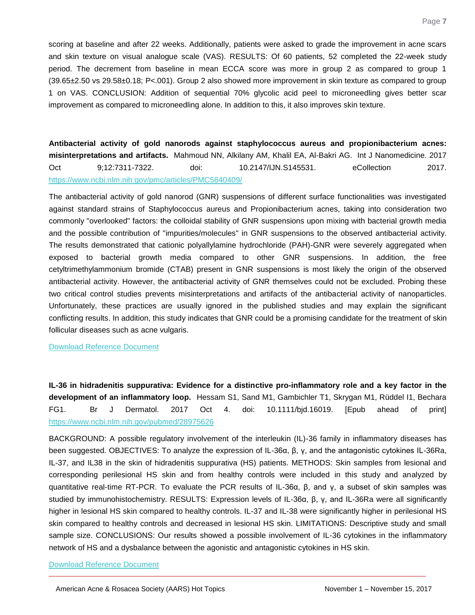scoring at baseline and after 22 weeks. Additionally, patients were asked to grade the improvement in acne scars and skin texture on visual analogue scale (VAS). RESULTS: Of 60 patients, 52 completed the 22-week study period. The decrement from baseline in mean ECCA score was more in group 2 as compared to group 1 (39.65±2.50 vs 29.58±0.18; P<.001). Group 2 also showed more improvement in skin texture as compared to group 1 on VAS. CONCLUSION: Addition of sequential 70% glycolic acid peel to microneedling gives better scar improvement as compared to microneedling alone. In addition to this, it also improves skin texture.

<span id="page-7-0"></span>**Antibacterial activity of gold nanorods against staphylococcus aureus and propionibacterium acnes: misinterpretations and artifacts.** Mahmoud NN, Alkilany AM, Khalil EA, Al-Bakri AG. Int J Nanomedicine. 2017 Oct 9;12:7311-7322. doi: 10.2147/IJN.S145531. eCollection 2017. <https://www.ncbi.nlm.nih.gov/pmc/articles/PMC5640409/>

The antibacterial activity of gold nanorod (GNR) suspensions of different surface functionalities was investigated against standard strains of Staphylococcus aureus and Propionibacterium acnes, taking into consideration two commonly "overlooked" factors: the colloidal stability of GNR suspensions upon mixing with bacterial growth media and the possible contribution of "impurities/molecules" in GNR suspensions to the observed antibacterial activity. The results demonstrated that cationic polyallylamine hydrochloride (PAH)-GNR were severely aggregated when exposed to bacterial growth media compared to other GNR suspensions. In addition, the free cetyltrimethylammonium bromide (CTAB) present in GNR suspensions is most likely the origin of the observed antibacterial activity. However, the antibacterial activity of GNR themselves could not be excluded. Probing these two critical control studies prevents misinterpretations and artifacts of the antibacterial activity of nanoparticles. Unfortunately, these practices are usually ignored in the published studies and may explain the significant conflicting results. In addition, this study indicates that GNR could be a promising candidate for the treatment of skin follicular diseases such as acne vulgaris.

[Download Reference Document](http://files.constantcontact.com/c2fa20d1101/f7062644-72a7-44be-ba66-9a35e18808d8.pdf?ver=1510693473000)

<span id="page-7-1"></span>**IL-36 in hidradenitis suppurativa: Evidence for a distinctive pro-inflammatory role and a key factor in the development of an inflammatory loop.** Hessam S1, Sand M1, Gambichler T1, Skrygan M1, Rüddel I1, Bechara FG1. Br J Dermatol. 2017 Oct 4. doi: 10.1111/bjd.16019. [Epub ahead of print] <https://www.ncbi.nlm.nih.gov/pubmed/28975626>

BACKGROUND: A possible regulatory involvement of the interleukin (IL)-36 family in inflammatory diseases has been suggested. OBJECTIVES: To analyze the expression of IL-36α, β, γ, and the antagonistic cytokines IL-36Ra, IL-37, and IL38 in the skin of hidradenitis suppurativa (HS) patients. METHODS: Skin samples from lesional and corresponding perilesional HS skin and from healthy controls were included in this study and analyzed by quantitative real-time RT-PCR. To evaluate the PCR results of IL-36α, β, and γ, a subset of skin samples was studied by immunohistochemistry. RESULTS: Expression levels of IL-36α, β, γ, and IL-36Ra were all significantly higher in lesional HS skin compared to healthy controls. IL-37 and IL-38 were significantly higher in perilesional HS skin compared to healthy controls and decreased in lesional HS skin. LIMITATIONS: Descriptive study and small sample size. CONCLUSIONS: Our results showed a possible involvement of IL-36 cytokines in the inflammatory network of HS and a dysbalance between the agonistic and antagonistic cytokines in HS skin.

[Download Reference Document](http://files.constantcontact.com/c2fa20d1101/66d64a33-12a7-46a5-8c44-f3a421b01ed8.pdf?ver=1510693469000)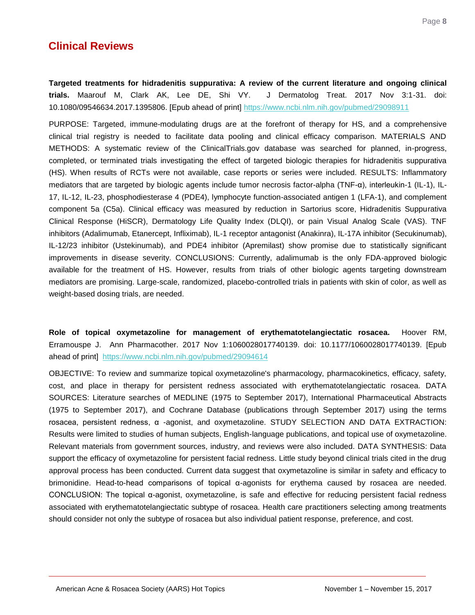## **Clinical Reviews**

Page **8**

<span id="page-8-0"></span>**Targeted treatments for hidradenitis suppurativa: A review of the current literature and ongoing clinical trials.** Maarouf M, Clark AK, Lee DE, Shi VY. J Dermatolog Treat. 2017 Nov 3:1-31. doi: 10.1080/09546634.2017.1395806. [Epub ahead of print]<https://www.ncbi.nlm.nih.gov/pubmed/29098911>

PURPOSE: Targeted, immune-modulating drugs are at the forefront of therapy for HS, and a comprehensive clinical trial registry is needed to facilitate data pooling and clinical efficacy comparison. MATERIALS AND METHODS: A systematic review of the ClinicalTrials.gov database was searched for planned, in-progress, completed, or terminated trials investigating the effect of targeted biologic therapies for hidradenitis suppurativa (HS). When results of RCTs were not available, case reports or series were included. RESULTS: Inflammatory mediators that are targeted by biologic agents include tumor necrosis factor-alpha (TNF-α), interleukin-1 (IL-1), IL-17, IL-12, IL-23, phosphodiesterase 4 (PDE4), lymphocyte function-associated antigen 1 (LFA-1), and complement component 5a (C5a). Clinical efficacy was measured by reduction in Sartorius score, Hidradenitis Suppurativa Clinical Response (HiSCR), Dermatology Life Quality Index (DLQI), or pain Visual Analog Scale (VAS). TNF inhibitors (Adalimumab, Etanercept, Infliximab), IL-1 receptor antagonist (Anakinra), IL-17A inhibitor (Secukinumab), IL-12/23 inhibitor (Ustekinumab), and PDE4 inhibitor (Apremilast) show promise due to statistically significant improvements in disease severity. CONCLUSIONS: Currently, adalimumab is the only FDA-approved biologic available for the treatment of HS. However, results from trials of other biologic agents targeting downstream mediators are promising. Large-scale, randomized, placebo-controlled trials in patients with skin of color, as well as weight-based dosing trials, are needed.

<span id="page-8-1"></span>**Role of topical oxymetazoline for management of erythematotelangiectatic rosacea.** Hoover RM, Erramouspe J. Ann Pharmacother. 2017 Nov 1:1060028017740139. doi: 10.1177/1060028017740139. [Epub ahead of print] <https://www.ncbi.nlm.nih.gov/pubmed/29094614>

OBJECTIVE: To review and summarize topical oxymetazoline's pharmacology, pharmacokinetics, efficacy, safety, cost, and place in therapy for persistent redness associated with erythematotelangiectatic rosacea. DATA SOURCES: Literature searches of MEDLINE (1975 to September 2017), International Pharmaceutical Abstracts (1975 to September 2017), and Cochrane Database (publications through September 2017) using the terms rosacea, persistent redness, α -agonist, and oxymetazoline. STUDY SELECTION AND DATA EXTRACTION: Results were limited to studies of human subjects, English-language publications, and topical use of oxymetazoline. Relevant materials from government sources, industry, and reviews were also included. DATA SYNTHESIS: Data support the efficacy of oxymetazoline for persistent facial redness. Little study beyond clinical trials cited in the drug approval process has been conducted. Current data suggest that oxymetazoline is similar in safety and efficacy to brimonidine. Head-to-head comparisons of topical α-agonists for erythema caused by rosacea are needed. CONCLUSION: The topical α-agonist, oxymetazoline, is safe and effective for reducing persistent facial redness associated with erythematotelangiectatic subtype of rosacea. Health care practitioners selecting among treatments should consider not only the subtype of rosacea but also individual patient response, preference, and cost.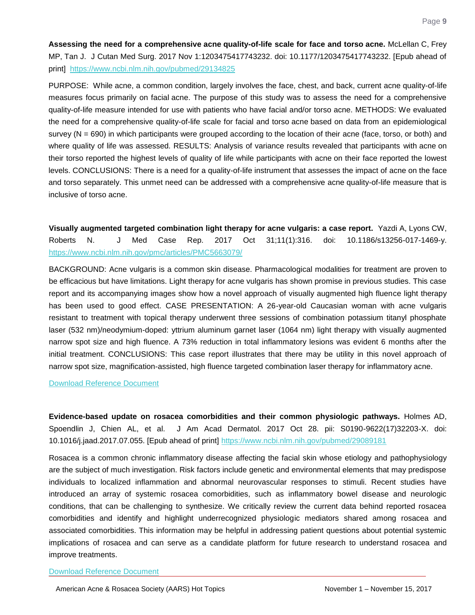<span id="page-9-0"></span>**Assessing the need for a comprehensive acne quality-of-life scale for face and torso acne.** McLellan C, Frey MP, Tan J. J Cutan Med Surg. 2017 Nov 1:1203475417743232. doi: 10.1177/1203475417743232. [Epub ahead of print] <https://www.ncbi.nlm.nih.gov/pubmed/29134825>

PURPOSE: While acne, a common condition, largely involves the face, chest, and back, current acne quality-of-life measures focus primarily on facial acne. The purpose of this study was to assess the need for a comprehensive quality-of-life measure intended for use with patients who have facial and/or torso acne. METHODS: We evaluated the need for a comprehensive quality-of-life scale for facial and torso acne based on data from an epidemiological survey (N = 690) in which participants were grouped according to the location of their acne (face, torso, or both) and where quality of life was assessed. RESULTS: Analysis of variance results revealed that participants with acne on their torso reported the highest levels of quality of life while participants with acne on their face reported the lowest levels. CONCLUSIONS: There is a need for a quality-of-life instrument that assesses the impact of acne on the face and torso separately. This unmet need can be addressed with a comprehensive acne quality-of-life measure that is inclusive of torso acne.

<span id="page-9-1"></span>**Visually augmented targeted combination light therapy for acne vulgaris: a case report.** Yazdi A, Lyons CW, Roberts N. J Med Case Rep. 2017 Oct 31;11(1):316. doi: 10.1186/s13256-017-1469-y. <https://www.ncbi.nlm.nih.gov/pmc/articles/PMC5663079/>

BACKGROUND: Acne vulgaris is a common skin disease. Pharmacological modalities for treatment are proven to be efficacious but have limitations. Light therapy for acne vulgaris has shown promise in previous studies. This case report and its accompanying images show how a novel approach of visually augmented high fluence light therapy has been used to good effect. CASE PRESENTATION: A 26-year-old Caucasian woman with acne vulgaris resistant to treatment with topical therapy underwent three sessions of combination potassium titanyl phosphate laser (532 nm)/neodymium-doped: yttrium aluminum garnet laser (1064 nm) light therapy with visually augmented narrow spot size and high fluence. A 73% reduction in total inflammatory lesions was evident 6 months after the initial treatment. CONCLUSIONS: This case report illustrates that there may be utility in this novel approach of narrow spot size, magnification-assisted, high fluence targeted combination laser therapy for inflammatory acne.

[Download Reference Document](http://files.constantcontact.com/c2fa20d1101/545f9907-5160-4067-868e-bec83982abcd.pdf?ver=1510693463000)

<span id="page-9-2"></span>**Evidence-based update on rosacea comorbidities and their common physiologic pathways.** Holmes AD, Spoendlin J, Chien AL, et al. J Am Acad Dermatol. 2017 Oct 28. pii: S0190-9622(17)32203-X. doi: 10.1016/j.jaad.2017.07.055. [Epub ahead of print]<https://www.ncbi.nlm.nih.gov/pubmed/29089181>

Rosacea is a common chronic inflammatory disease affecting the facial skin whose etiology and pathophysiology are the subject of much investigation. Risk factors include genetic and environmental elements that may predispose individuals to localized inflammation and abnormal neurovascular responses to stimuli. Recent studies have introduced an array of systemic rosacea comorbidities, such as inflammatory bowel disease and neurologic conditions, that can be challenging to synthesize. We critically review the current data behind reported rosacea comorbidities and identify and highlight underrecognized physiologic mediators shared among rosacea and associated comorbidities. This information may be helpful in addressing patient questions about potential systemic implications of rosacea and can serve as a candidate platform for future research to understand rosacea and improve treatments.

[Download Reference Document](http://files.constantcontact.com/c2fa20d1101/4b241fa9-eb2e-4d0f-9333-f3e0aabe5e32.pdf?ver=1510693469000)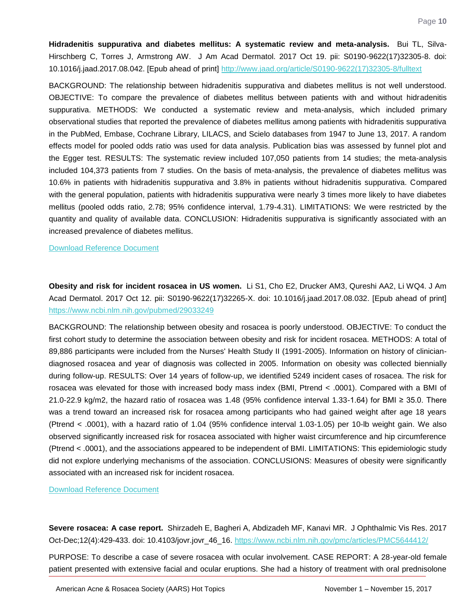<span id="page-10-0"></span>**Hidradenitis suppurativa and diabetes mellitus: A systematic review and meta-analysis.** Bui TL, Silva-Hirschberg C, Torres J, Armstrong AW. J Am Acad Dermatol. 2017 Oct 19. pii: S0190-9622(17)32305-8. doi: 10.1016/j.jaad.2017.08.042. [Epub ahead of print] [http://www.jaad.org/article/S0190-9622\(17\)32305-8/fulltext](http://www.jaad.org/article/S0190-9622(17)32305-8/fulltext)

BACKGROUND: The relationship between hidradenitis suppurativa and diabetes mellitus is not well understood. OBJECTIVE: To compare the prevalence of diabetes mellitus between patients with and without hidradenitis suppurativa. METHODS: We conducted a systematic review and meta-analysis, which included primary observational studies that reported the prevalence of diabetes mellitus among patients with hidradenitis suppurativa in the PubMed, Embase, Cochrane Library, LILACS, and Scielo databases from 1947 to June 13, 2017. A random effects model for pooled odds ratio was used for data analysis. Publication bias was assessed by funnel plot and the Egger test. RESULTS: The systematic review included 107,050 patients from 14 studies; the meta-analysis included 104,373 patients from 7 studies. On the basis of meta-analysis, the prevalence of diabetes mellitus was 10.6% in patients with hidradenitis suppurativa and 3.8% in patients without hidradenitis suppurativa. Compared with the general population, patients with hidradenitis suppurativa were nearly 3 times more likely to have diabetes mellitus (pooled odds ratio, 2.78; 95% confidence interval, 1.79-4.31). LIMITATIONS: We were restricted by the quantity and quality of available data. CONCLUSION: Hidradenitis suppurativa is significantly associated with an increased prevalence of diabetes mellitus.

#### [Download Reference Document](http://files.constantcontact.com/c2fa20d1101/76e0d7b4-5fac-4cbc-a3eb-00096a0f43fa.pdf?ver=1510693754000)

<span id="page-10-1"></span>**Obesity and risk for incident rosacea in US women.** Li S1, Cho E2, Drucker AM3, Qureshi AA2, Li WQ4. J Am Acad Dermatol. 2017 Oct 12. pii: S0190-9622(17)32265-X. doi: 10.1016/j.jaad.2017.08.032. [Epub ahead of print] <https://www.ncbi.nlm.nih.gov/pubmed/29033249>

BACKGROUND: The relationship between obesity and rosacea is poorly understood. OBJECTIVE: To conduct the first cohort study to determine the association between obesity and risk for incident rosacea. METHODS: A total of 89,886 participants were included from the Nurses' Health Study II (1991-2005). Information on history of cliniciandiagnosed rosacea and year of diagnosis was collected in 2005. Information on obesity was collected biennially during follow-up. RESULTS: Over 14 years of follow-up, we identified 5249 incident cases of rosacea. The risk for rosacea was elevated for those with increased body mass index (BMI, Ptrend < .0001). Compared with a BMI of 21.0-22.9 kg/m2, the hazard ratio of rosacea was 1.48 (95% confidence interval 1.33-1.64) for BMI ≥ 35.0. There was a trend toward an increased risk for rosacea among participants who had gained weight after age 18 years (Ptrend < .0001), with a hazard ratio of 1.04 (95% confidence interval 1.03-1.05) per 10-lb weight gain. We also observed significantly increased risk for rosacea associated with higher waist circumference and hip circumference (Ptrend < .0001), and the associations appeared to be independent of BMI. LIMITATIONS: This epidemiologic study did not explore underlying mechanisms of the association. CONCLUSIONS: Measures of obesity were significantly associated with an increased risk for incident rosacea.

[Download Reference Document](http://files.constantcontact.com/c2fa20d1101/c76d7e3e-c121-4166-8e7e-77696bbd7753.pdf?ver=1510693470000)

<span id="page-10-2"></span>**Severe rosacea: A case report.** Shirzadeh E, Bagheri A, Abdizadeh MF, Kanavi MR. J Ophthalmic Vis Res. 2017 Oct-Dec;12(4):429-433. doi: 10.4103/jovr.jovr\_46\_16.<https://www.ncbi.nlm.nih.gov/pmc/articles/PMC5644412/>

PURPOSE: To describe a case of severe rosacea with ocular involvement. CASE REPORT: A 28-year-old female patient presented with extensive facial and ocular eruptions. She had a history of treatment with oral prednisolone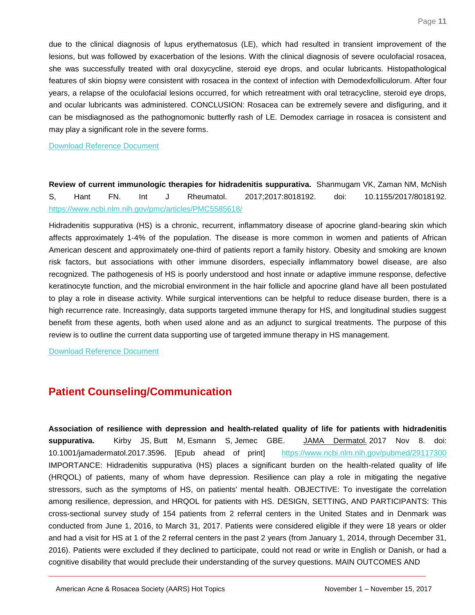due to the clinical diagnosis of lupus erythematosus (LE), which had resulted in transient improvement of the lesions, but was followed by exacerbation of the lesions. With the clinical diagnosis of severe oculofacial rosacea, she was successfully treated with oral doxycycline, steroid eye drops, and ocular lubricants. Histopathological features of skin biopsy were consistent with rosacea in the context of infection with Demodexfolliculorum. After four years, a relapse of the oculofacial lesions occurred, for which retreatment with oral tetracycline, steroid eye drops, and ocular lubricants was administered. CONCLUSION: Rosacea can be extremely severe and disfiguring, and it can be misdiagnosed as the pathognomonic butterfly rash of LE. Demodex carriage in rosacea is consistent and may play a significant role in the severe forms.

[Download Reference Document](http://files.constantcontact.com/c2fa20d1101/468396df-7eee-4d6e-82db-9004f412a485.pdf?ver=1510693462000)

<span id="page-11-0"></span>**Review of current immunologic therapies for hidradenitis suppurativa.** Shanmugam VK, Zaman NM, McNish S, Hant FN. Int J Rheumatol. 2017;2017:8018192. doi: 10.1155/2017/8018192. <https://www.ncbi.nlm.nih.gov/pmc/articles/PMC5585618/>

Hidradenitis suppurativa (HS) is a chronic, recurrent, inflammatory disease of apocrine gland-bearing skin which affects approximately 1-4% of the population. The disease is more common in women and patients of African American descent and approximately one-third of patients report a family history. Obesity and smoking are known risk factors, but associations with other immune disorders, especially inflammatory bowel disease, are also recognized. The pathogenesis of HS is poorly understood and host innate or adaptive immune response, defective keratinocyte function, and the microbial environment in the hair follicle and apocrine gland have all been postulated to play a role in disease activity. While surgical interventions can be helpful to reduce disease burden, there is a high recurrence rate. Increasingly, data supports targeted immune therapy for HS, and longitudinal studies suggest benefit from these agents, both when used alone and as an adjunct to surgical treatments. The purpose of this review is to outline the current data supporting use of targeted immune therapy in HS management.

[Download Reference Document](http://files.constantcontact.com/c2fa20d1101/dba580e8-1b3c-4e21-9173-1ddb3421f73e.pdf?ver=1510693452000)

## **Patient Counseling/Communication**

<span id="page-11-1"></span>**Association of resilience with depression and health-related quality of life for patients with hidradenitis suppurativa.** Kirby JS, Butt M, Esmann S, Jemec GBE. [JAMA Dermatol.](https://www.ncbi.nlm.nih.gov/pubmed/29117300) 2017 Nov 8. doi: 10.1001/jamadermatol.2017.3596. [Epub ahead of print] <https://www.ncbi.nlm.nih.gov/pubmed/29117300> IMPORTANCE: Hidradenitis suppurativa (HS) places a significant burden on the health-related quality of life (HRQOL) of patients, many of whom have depression. Resilience can play a role in mitigating the negative stressors, such as the symptoms of HS, on patients' mental health. OBJECTIVE: To investigate the correlation among resilience, depression, and HRQOL for patients with HS. DESIGN, SETTING, AND PARTICIPANTS: This cross-sectional survey study of 154 patients from 2 referral centers in the United States and in Denmark was conducted from June 1, 2016, to March 31, 2017. Patients were considered eligible if they were 18 years or older and had a visit for HS at 1 of the 2 referral centers in the past 2 years (from January 1, 2014, through December 31, 2016). Patients were excluded if they declined to participate, could not read or write in English or Danish, or had a cognitive disability that would preclude their understanding of the survey questions. MAIN OUTCOMES AND